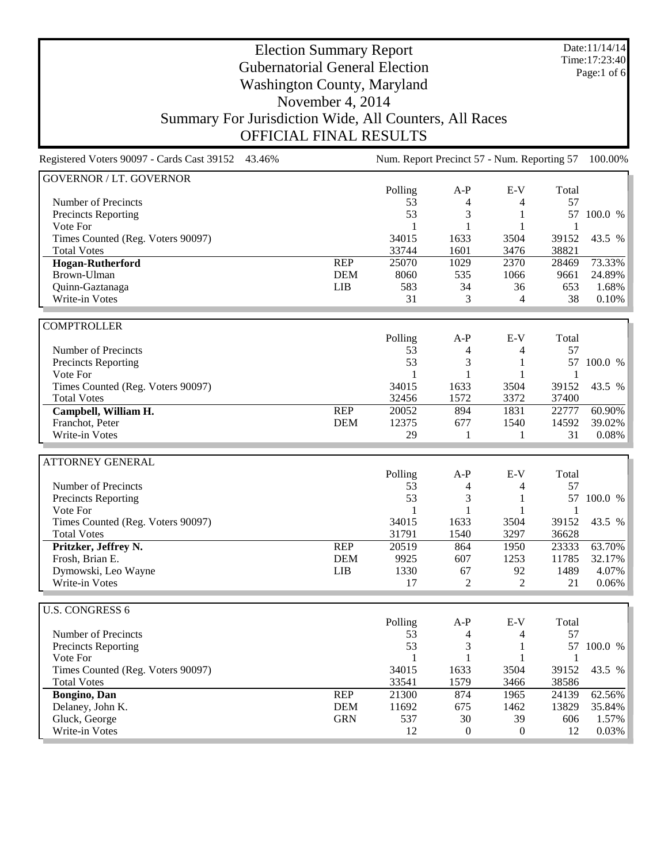Date:11/14/14 Time:17:23:40 Page:1 of 6

# Election Summary Report Gubernatorial General Election Washington County, Maryland November 4, 2014 Summary For Jurisdiction Wide, All Counters, All Races OFFICIAL FINAL RESULTS

Registered Voters 90097 - Cards Cast 39152 43.46% Num. Report Precinct 57 - Num. Reporting 57 100.00% GOVERNOR / LT. GOVERNOR Polling A-P E-V Total Number of Precincts 53 4 57 Precincts Reporting 53 3 1 57 100.0 % Vote For 1 1 1 1 Times Counted (Reg. Voters 90097) 34015 1633 3504 39152 43.5 % Total Votes 33744 1601 3476 38821 **Hogan-Rutherford** REP 25070 1029 2370 28469 73.33% Brown-Ulman DEM 8060 535 1066 9661 24.89% Quinn-Gaztanaga LIB 583 34 36 653 1.68% Write-in Votes 8 2010 10 and 2010 10 and 2010 10 and 2010 10 and 30 31 31 32 4 38 0.10 % **COMPTROLLER** Polling A-P E-V Total Number of Precincts<br>
Precincts Reporting<br>
S3 4 4 57<br>  $\frac{4}{3}$  1 57 100.0 % Precincts Reporting 53 3 1 57 100.0 % Vote For 1 1 1 1 Times Counted (Reg. Voters 90097) 34015 1633 3504 39152 43.5 % Total Votes 32456 1572 3372 37400 **Campbell, William H. Campbell, William H. REP** 20052 894 1831 22777 60.90% Franchot, Peter DEM 12375 677 1540 14592 39.02% Write-in Votes 29 1 1 31 0.08% ATTORNEY GENERAL Polling A-P E-V Total Number of Precincts<br>
Precincts Reporting<br>
S3 4 4 57<br>  $\frac{4}{3}$  1 57 100.0 % Precincts Reporting 53 3 1<br>Vote For 1 1 1 1 1 Vote For 1 1 1 1 Times Counted (Reg. Voters 90097) 34015 1633 3504 39152 43.5 %<br>
Total Votes 31791 1540 3297 36628 Total Votes 31791 1540 3297 36628 **Pritzker, Jeffrey N.** REP 20519 864 1950 23333 63.70% Frosh, Brian E.<br>
DEM 9925 607 1253 11785 32.17%<br>
LIB 1330 67 92 1489 4.07% Pymowski, Leo Wayne **LIB** 1330 67 92 1489 4.07% <br>Write-in Votes 17 2 2 21 0.06% Write-in Votes 17 U.S. CONGRESS 6 Polling A-P E-V Total Number of Precincts 53 4 4 57 Precincts Reporting 1990 100.0 % 1 57 100.0 % Vote For  $1 \t 1 \t 1 \t 1$ Times Counted (Reg. Voters 90097) 34015 1633 3504 39152 43.5 % Total Votes 33541 1579 3466 38586 **Bongino, Dan** REP 21300 874 1965 24139 62.56% Pelaney, John K. Blancow Chemical Chemical Chemical Chemical Chemical Chemical Chemical Chemical Chemical Chemical Chemical Chemical Chemical Chemical Chemical Chemical Chemical Chemical Chemical Chemical Chemical Chemical Gluck, George GRN 537 30 39 606 1.57% Write-in Votes 2003% 2003/00 12 12 2003/00 12 2003/00 12 2003/00 12 2003/00 12 2003/00 12 2003/00 12 2003/00 12 2003/00 12 2003/00 12 2003/00 12 2003/00 12 2003/00 12 2003/00 12 2003/00 12 2003/00 12 2004/00 12 2005/00 12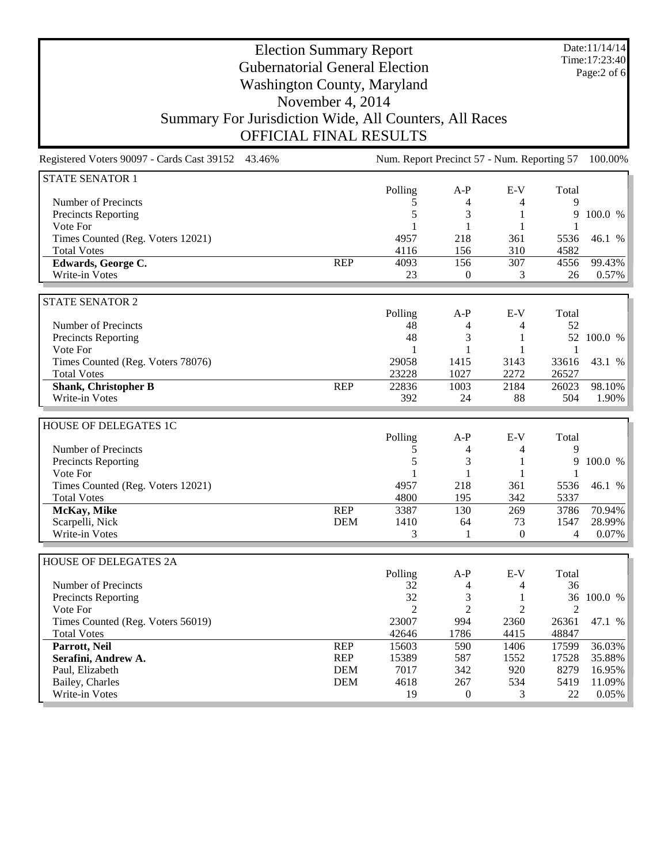Date:11/14/14 Time:17:23:40 Page:2 of 6

# Election Summary Report Gubernatorial General Election Washington County, Maryland November 4, 2014 Summary For Jurisdiction Wide, All Counters, All Races OFFICIAL FINAL RESULTS

Registered Voters 90097 - Cards Cast 39152 43.46% Num. Report Precinct 57 - Num. Reporting 57 100.00% STATE SENATOR 1 Polling A-P E-V Total Number of Precincts and the contract of Precincts and the contract of the contract of Precincts and the contract of  $\frac{5}{4}$  and  $\frac{4}{4}$  and  $\frac{9}{4}$ Precincts Reporting **Precincts** Reporting **100.0** % Vote For 1 1 1 1 Times Counted (Reg. Voters 12021) 4957 218 361 5536 46.1 % Total Votes 2001 2012 2022 2023 2024 2024 2022 2022 2023 2024 2022 2023 2024 2022 2023 2024 2022 2023 2024 2023 2024 2022 2023 2024 2022 2023 2024 2022 2023 2024 2023 2024 2023 2024 2023 2024 2023 2024 2023 2024 2023 2024 **Edwards, George C.** REP 4093 156 307 4556 99.43% Write-in Votes 23 0 3 26 0.57% STATE SENATOR 2 Polling A-P E-V Total Number of Precincts<br>
Precincts Reporting<br>  $\begin{array}{ccccccccc}\n & 48 & & 4 & & 52 \\
 & & 48 & & 3 & & 1 \\
 & & 52 & 100.0 & \frac{1}{6}\n\end{array}$ Precincts Reporting 1991 1 52 100.0 % and the set of the set of the set of the set of the set of the set of the set of the set of the set of the set of the set of the set of the set of the set of the set of the set of the Vote For 1 1 1 1 Times Counted (Reg. Voters 78076) 29058 1415 3143 33616 43.1 % Total Votes 23228 1027 2272 26527 **Shank, Christopher B** REP 22836 1003 2184 26023 98.10% Write-in Votes 392 24 88 504 1.90% HOUSE OF DELEGATES 1C Polling A-P E-V Total Number of Precincts and the contract of Precincts and the contract of the contract of Precincts and the contract of the contract of the contract of the contract of the contract of the contract of the contract of the contra Precincts Reporting 5 3 1 9 100.0 % Vote For 1 1 1 1 Times Counted (Reg. Voters 12021) 4957 218 361 5536 46.1 % Total Votes 342 5337 **McKay, Mike** REP 3387 130 269 3786 70.94% Scarpelli, Nick 1999% (Carpelli, Nick 1999%) (Carpelli, Nick 1999%) (Carpelli, Nick 1999%) (Carpelli, Nick 199 Write-in Votes  $\begin{array}{ccccccccccccc}\n3 & 1 & 0 & 4 & 0.07\% \\
\end{array}$ HOUSE OF DELEGATES 2A Polling A-P E-V Total Number of Precincts 32 4 4 36 Precincts Reporting  $\begin{array}{ccccccccc}\n 32 & 3 & 1 & 36 & 100.0 & \text{\%} \\
 \text{Note For} & 2 & 2 & 2 & 2\n \end{array}$ Vote For 2 2 2 2 Times Counted (Reg. Voters 56019) 23007 994 2360 26361 47.1 % Total Votes 42646 1786 4415 48847 **Parrott, Neil** REP 15603 590 1406 17599 36.03% **Serafini, Andrew A. REP** 15389 587 1552 17528 35.88% Paul, Elizabeth DEM 7017 342 920 8279 16.95% Bailey, Charles 2618 11.09% **DEM** 4618 267 534 5419 11.09% Write-in Votes 22 2005% 22 2005% 22 2005% 22 2005%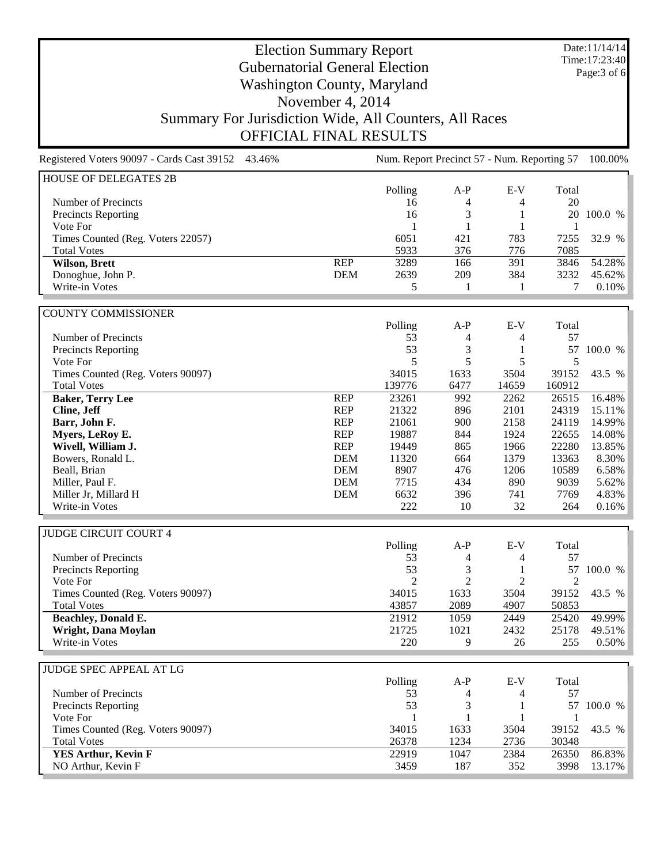Date:11/14/14 Time:17:23:40 Page:3 of 6

# Election Summary Report Gubernatorial General Election Washington County, Maryland November 4, 2014 Summary For Jurisdiction Wide, All Counters, All Races OFFICIAL FINAL RESULTS

Registered Voters 90097 - Cards Cast 39152 43.46% Num. Report Precinct 57 - Num. Reporting 57 100.00% HOUSE OF DELEGATES 2B Polling A-P E-V Total Number of Precincts 20 and the contract of Precincts 20 and the contract of  $\frac{4}{4}$  and  $\frac{4}{20}$ Precincts Reporting 16 3 1 20 100.0 % Vote For 1 1 1 1 Times Counted (Reg. Voters 22057) 6051 421 783 7255 32.9 % Total Votes 5933 376 776 7085 **Wilson, Brett** REP 3289 166 391 3846 54.28% Ponoghue, John P.<br>
Write-in Votes
<br>
Write-in Votes  $\begin{array}{ccccccccc}\n & & & & \text{DEM} & & 2639 & & 209 & & 384 & & 3232 & 45.62\% \\
 & & & & & & & & \text{DEM} & & 2639 & & 209 & & 384 & & 3232 & 45.62\% \\
 & & & & & & & & \text{DEM} & & 2639 & & 209 & & 384 & & 3232 & 45.62\% \\
 & & & & & & & & \text{DEM} &$ Write-in Votes  $\begin{array}{ccccccccccccc}\n & 1 & 1 & 7 & 0.10\% & & & \\
\hline\n\end{array}$ COUNTY COMMISSIONER Polling A-P E-V Total Number of Precincts<br>
Precincts Reporting<br>
S3 4 4 57<br>
3 1 57 100.0 % Precincts Reporting Vote For 5 5 5 5 Times Counted (Reg. Voters 90097) 34015 1633 3504 39152 43.5 % Total Votes 139776 6477 14659 160912 **Baker, Terry Lee** REP 23261 992 2262 26515 16.48%<br> **Cline, Jeff** REP 21322 896 2101 24319 15.11% **Cline, Jeff** 21322 896 2101 24319 15.11% **Barr, John F.** (1999) **REP** 21061 900 2158 24119 14.99% **Myers, LeRoy E. REP** 19887 844 1924 22655 14.08% **Wivell, William J. REP** 19449 865 1966 22280 13.85% Bowers, Ronald L. DEM 11320 664 1379 13363 8.30% Beall, Brian DEM 8907 476 1206 10589 6.58% Miller, Paul F. DEM 7715 434 890 9039 5.62% Miller Jr, Millard H<br>
Write-in Votes<br>
Write-in Votes<br>
222 10 32 264 0.16% Write-in Votes 222 10 32 264 0.16% JUDGE CIRCUIT COURT 4 Polling A-P E-V Total<br>53 4 4 57 Number of Precincts 4 4 4 4 4 53 4 57 and 57 and 57 and 57 and 57 and 57 and 57 and 57 and 57 and 57 and 57 and 57 and 57 and 57 and 57 and 57 and 57 and 57 and 57 and 57 and 57 and 57 and 57 and 57 and 57 and 57 and 57 an Precincts Reporting 53 3 1 57 100.0 %<br>Vote For 2 2 2 2 2 Vote For 2 2 2 2 Times Counted (Reg. Voters 90097) 34015 1633 3504 39152 43.5 %<br>Total Votes 39152 1635 3504 39152 43.5 % Total Votes 43857 2089 4907 50853 **Beachley, Donald E.** 21912 1059 2449 25420 49.99% **Wright, Dana Moylan** 21725 1021 2432 25178 49.51% Write-in Votes 220 9 26 255 0.50% JUDGE SPEC APPEAL AT LG Polling A-P E-V Total Number of Precincts 53 4 57 Precincts Reporting 53 3 1 57 100.0 % Vote For 1 1 1 1 Times Counted (Reg. Voters 90097) 34015 1633 3504 39152 43.5 % Total Votes 26378 1234 2736 30348 **YES Arthur, Kevin F** 22919 1047 2384 26350 86.83% NO Arthur, Kevin F 3459 187 352 3998 13.17%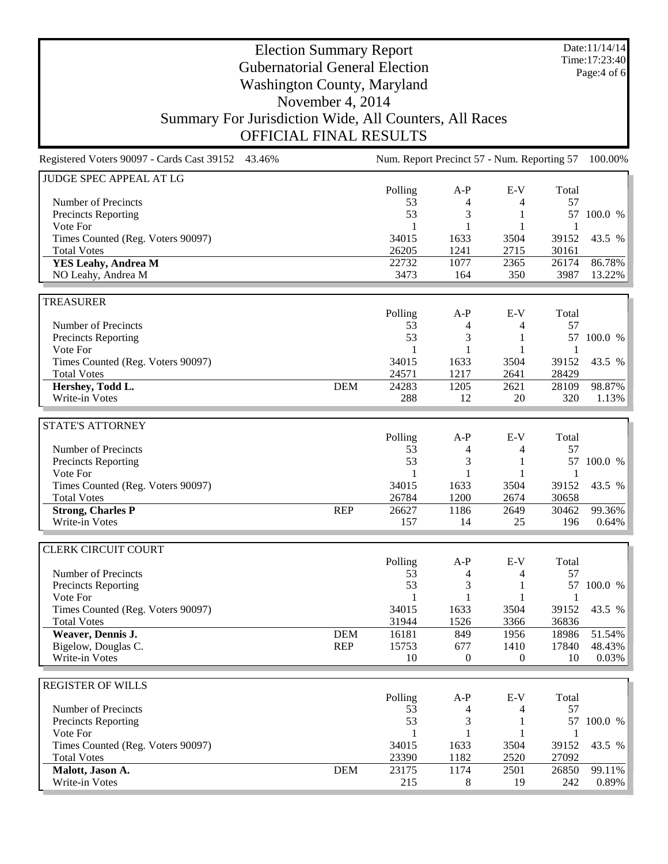Date:11/14/14 Time:17:23:40 Page:4 of 6

# Election Summary Report Gubernatorial General Election Washington County, Maryland November 4, 2014 Summary For Jurisdiction Wide, All Counters, All Races OFFICIAL FINAL RESULTS

Registered Voters 90097 - Cards Cast 39152 43.46% Num. Report Precinct 57 - Num. Reporting 57 100.00% JUDGE SPEC APPEAL AT LG Polling A-P E-V Total Number of Precincts 53 4 4 57 Precincts Reporting 53 53 1 57 100.0 % Vote For 1 1 1 1 Times Counted (Reg. Voters 90097) 34015 1633 3504 39152 43.5 % Total Votes 26205 1241 2715 30161 **YES Leahy, Andrea M** 22732 1077 2365 26174 86.78% NO Leahy, Andrea M 3473 164 350 3987 13.22% TREASURER Polling A-P E-V Total Number of Precincts<br>
Precincts Reporting<br>
S3 4 4 57<br>  $\frac{4}{3}$  1 57 100.0 % Precincts Reporting 53 3 1 Vote For 1 1 1 1 Times Counted (Reg. Voters 90097) 34015 1633 3504 39152 43.5 % Total Votes 24571 1217 2641 28429 **Hershey, Todd L. DEM** 24283 1205 2621 28109 98.87%<br>Write-in Votes 288 12 20 320 1.13% Write-in Votes 288 12 20 320 1.13% STATE'S ATTORNEY Polling A-P E-V Total<br>53 4 4 57 Number of Precincts 53 4 4 57 Precincts Reporting 53 53 3 1 57 100.0 %<br>Vote For 1 1 1 1 1 Vote For 1 1 1 1 Times Counted (Reg. Voters 90097) 34015 1633 3504 39152 43.5 % Total Votes 26784 1200 2674 30658 **Strong, Charles P REP** 26627 1186 2649 30462 99.36%<br>Write-in Votes 157 14 25 196 0.64% Write-in Votes 25 196 0.64% CLERK CIRCUIT COURT Polling A-P E-V Total Number of Precincts 53 4 4 57 Precincts Reporting 2012 12:00:00 12:00:00 12:00:00 12:00:00 12:00:00 12:00:00 12:00:00 12:00:00 12:00:00 12:00:00 12:00:00 12:00:00 12:00:00 12:00:00 12:00:00 12:00:00 12:00:00 12:00:00 12:00:00 12:00:00 12:00:00 12:00:00 Vote For 1 1 1 1 Times Counted (Reg. Voters 90097) 34015 1633 3504 39152 43.5 % Total Votes 31944 1526 3366 36836 **Weaver, Dennis J. DEM** 16181 849 1956 18986 51.54% Bigelow, Douglas C. 2012 12:33 REP 15753 677 1410 17840 48.43% Write-in Votes 200 10 200 10 200 10 200 10 200 10 200 10 200 10 200 10 200 10 200 10 200 10 200 10 200 10 200 10 200 10 200 10 200 10 200 10 200 10 200 10 200 10 200 10 200 10 200 10 200 10 200 10 200 10 200 10 200 10 200 REGISTER OF WILLS Polling A-P E-V Total Number of Precincts<br>
Precincts Reporting<br>
S3 4 4 57<br>  $\frac{4}{3}$  1 57 100.0 % Precincts Reporting 53 3 1 Vote For  $1 \t 1 \t 1 \t 1$ Times Counted (Reg. Voters 90097) 34015 1633 3504 39152 43.5 % Total Votes 23390 1182 2520 27092 **Malott, Jason A. DEM** 23175 1174 2501 26850 99.11%<br>Write-in Votes 215 8 19 242 0.89% Write-in Votes 215 8 19 242 0.89%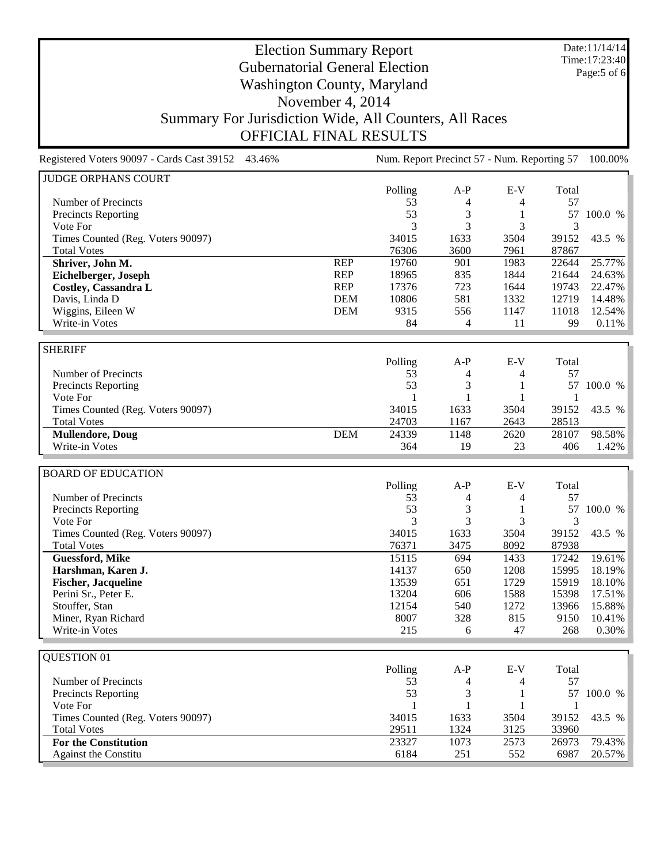Date:11/14/14 Time:17:23:40 Page:5 of 6

# Election Summary Report Gubernatorial General Election Washington County, Maryland November 4, 2014 Summary For Jurisdiction Wide, All Counters, All Races OFFICIAL FINAL RESULTS

Registered Voters 90097 - Cards Cast 39152 43.46% Num. Report Precinct 57 - Num. Reporting 57 100.00%

| <b>JUDGE ORPHANS COURT</b>        |            |         |       |       |       |         |
|-----------------------------------|------------|---------|-------|-------|-------|---------|
|                                   |            | Polling | $A-P$ | $E-V$ | Total |         |
| Number of Precincts               |            | 53      | 4     |       | 57    |         |
| <b>Precincts Reporting</b>        |            | 53      | 3     |       | 57    | 100.0 % |
| Vote For                          |            | 3       | 3     | 3     | 3     |         |
| Times Counted (Reg. Voters 90097) |            | 34015   | 1633  | 3504  | 39152 | 43.5 %  |
| <b>Total Votes</b>                |            | 76306   | 3600  | 7961  | 87867 |         |
| Shriver, John M.                  | <b>REP</b> | 19760   | 901   | 1983  | 22644 | 25.77%  |
| Eichelberger, Joseph              | <b>REP</b> | 18965   | 835   | 1844  | 21644 | 24.63%  |
| Costley, Cassandra L              | <b>REP</b> | 17376   | 723   | 1644  | 19743 | 22.47%  |
| Davis, Linda D                    | <b>DEM</b> | 10806   | 581   | 1332  | 12719 | 14.48%  |
| Wiggins, Eileen W                 | <b>DEM</b> | 9315    | 556   | 1147  | 11018 | 12.54%  |
| Write-in Votes                    |            | 84      | 4     | 11    | 99    | 0.11%   |
|                                   |            |         |       |       |       |         |
| <b>SHERIFF</b>                    |            |         |       |       |       |         |
|                                   |            | Polling | $A-P$ | $E-V$ | Total |         |
| Number of Precincts               |            | 53      | 4     |       | 57    |         |
| <b>Precincts Reporting</b>        |            | 53      | 3     |       | 57    | 100.0 % |
| Vote For                          |            |         |       |       |       |         |
| Times Counted (Reg. Voters 90097) |            | 34015   | 1633  | 3504  | 39152 | 43.5 %  |
| <b>Total Votes</b>                |            | 24703   | 1167  | 2643  | 28513 |         |
| <b>Mullendore, Doug</b>           | <b>DEM</b> | 24339   | 1148  | 2620  | 28107 | 98.58%  |
| Write-in Votes                    |            | 364     | 19    | 23    | 406   | 1.42%   |
|                                   |            |         |       |       |       |         |
| <b>BOARD OF EDUCATION</b>         |            |         |       |       |       |         |

|                                   | Polling | A-P  | $E-V$ | Total |         |
|-----------------------------------|---------|------|-------|-------|---------|
| Number of Precincts               | 53      | 4    | 4     | 57    |         |
| Precincts Reporting               | 53      | 3    |       | 57    | 100.0 % |
| Vote For                          | 3       | 3    | 3     |       |         |
| Times Counted (Reg. Voters 90097) | 34015   | 1633 | 3504  | 39152 | 43.5 %  |
| <b>Total Votes</b>                | 76371   | 3475 | 8092  | 87938 |         |
| <b>Guessford, Mike</b>            | 15115   | 694  | 1433  | 17242 | 19.61%  |
| Harshman, Karen J.                | 14137   | 650  | 1208  | 15995 | 18.19%  |
| <b>Fischer, Jacqueline</b>        | 13539   | 651  | 1729  | 15919 | 18.10%  |
| Perini Sr., Peter E.              | 13204   | 606  | 1588  | 15398 | 17.51%  |
| Stouffer, Stan                    | 12154   | 540  | 1272  | 13966 | 15.88%  |
| Miner, Ryan Richard               | 8007    | 328  | 815   | 9150  | 10.41%  |
| Write-in Votes                    | 215     | 6    | 47    | 268   | 0.30%   |
|                                   |         |      |       |       |         |

| QUESTION 01                       |         |       |       |       |         |
|-----------------------------------|---------|-------|-------|-------|---------|
|                                   | Polling | $A-P$ | $E-V$ | Total |         |
| Number of Precincts               | 53      | 4     | 4     | 57    |         |
| <b>Precincts Reporting</b>        | 53      |       |       | 57    | 100.0 % |
| Vote For                          |         |       |       |       |         |
| Times Counted (Reg. Voters 90097) | 34015   | 1633  | 3504  | 39152 | 43.5 %  |
| <b>Total Votes</b>                | 29511   | 1324  | 3125  | 33960 |         |
| <b>For the Constitution</b>       | 23327   | 1073  | 2573  | 26973 | 79.43%  |
| <b>Against the Constitu</b>       | 6184    | 251   | 552   | 6987  | 20.57%  |